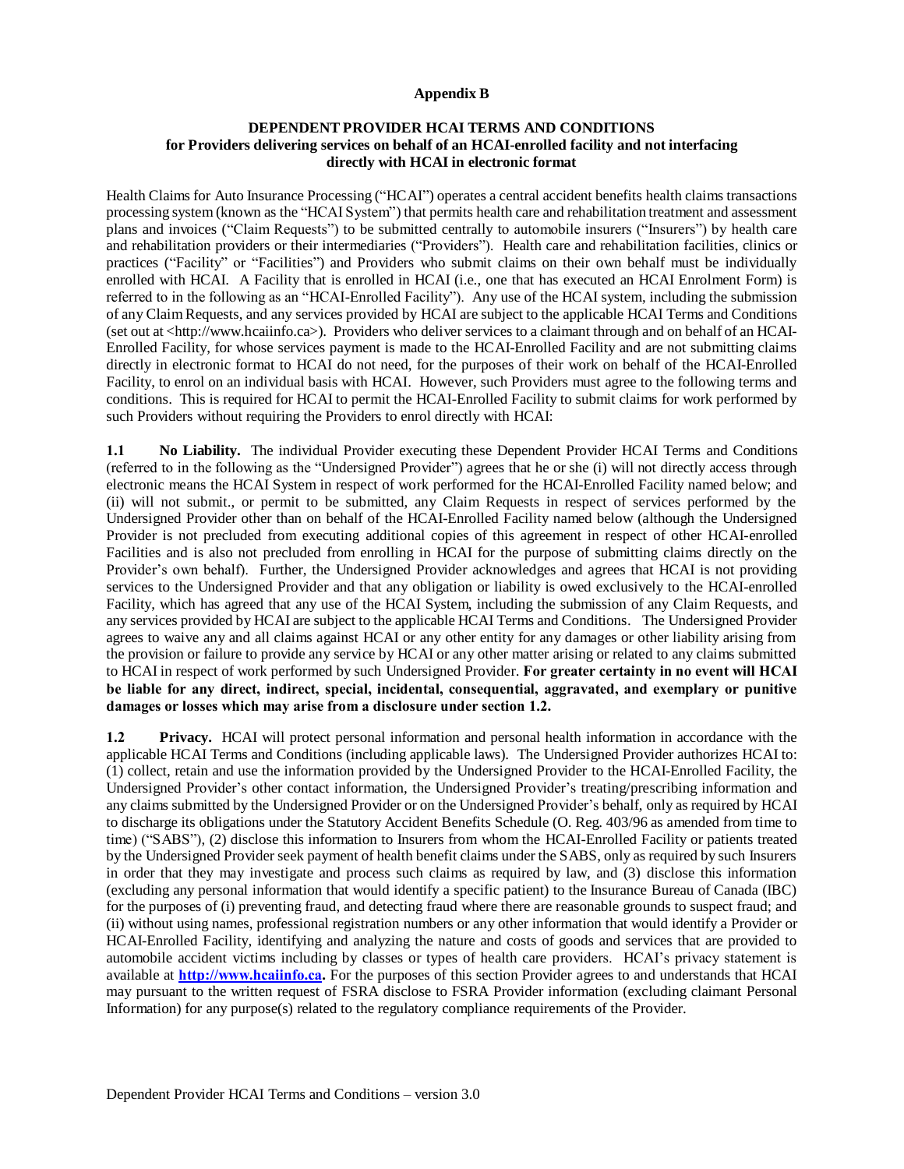## **Appendix B**

## **DEPENDENT PROVIDER HCAI TERMS AND CONDITIONS for Providers delivering services on behalf of an HCAI-enrolled facility and not interfacing directly with HCAI in electronic format**

Health Claims for Auto Insurance Processing ("HCAI") operates a central accident benefits health claims transactions processing system (known as the "HCAI System") that permits health care and rehabilitation treatment and assessment plans and invoices ("Claim Requests") to be submitted centrally to automobile insurers ("Insurers") by health care and rehabilitation providers or their intermediaries ("Providers"). Health care and rehabilitation facilities, clinics or practices ("Facility" or "Facilities") and Providers who submit claims on their own behalf must be individually enrolled with HCAI. A Facility that is enrolled in HCAI (i.e., one that has executed an HCAI Enrolment Form) is referred to in the following as an "HCAI-Enrolled Facility"). Any use of the HCAI system, including the submission of any Claim Requests, and any services provided by HCAI are subject to the applicable HCAI Terms and Conditions (set out at <http://www.hcaiinfo.ca>). Providers who deliver services to a claimant through and on behalf of an HCAI-Enrolled Facility, for whose services payment is made to the HCAI-Enrolled Facility and are not submitting claims directly in electronic format to HCAI do not need, for the purposes of their work on behalf of the HCAI-Enrolled Facility, to enrol on an individual basis with HCAI. However, such Providers must agree to the following terms and conditions. This is required for HCAI to permit the HCAI-Enrolled Facility to submit claims for work performed by such Providers without requiring the Providers to enrol directly with HCAI:

**1.1 No Liability.** The individual Provider executing these Dependent Provider HCAI Terms and Conditions (referred to in the following as the "Undersigned Provider") agrees that he or she (i) will not directly access through electronic means the HCAI System in respect of work performed for the HCAI-Enrolled Facility named below; and (ii) will not submit., or permit to be submitted, any Claim Requests in respect of services performed by the Undersigned Provider other than on behalf of the HCAI-Enrolled Facility named below (although the Undersigned Provider is not precluded from executing additional copies of this agreement in respect of other HCAI-enrolled Facilities and is also not precluded from enrolling in HCAI for the purpose of submitting claims directly on the Provider's own behalf). Further, the Undersigned Provider acknowledges and agrees that HCAI is not providing services to the Undersigned Provider and that any obligation or liability is owed exclusively to the HCAI-enrolled Facility, which has agreed that any use of the HCAI System, including the submission of any Claim Requests, and any services provided by HCAI are subject to the applicable HCAI Terms and Conditions. The Undersigned Provider agrees to waive any and all claims against HCAI or any other entity for any damages or other liability arising from the provision or failure to provide any service by HCAI or any other matter arising or related to any claims submitted to HCAI in respect of work performed by such Undersigned Provider. **For greater certainty in no event will HCAI be liable for any direct, indirect, special, incidental, consequential, aggravated, and exemplary or punitive damages or losses which may arise from a disclosure under section 1.2.** 

**1.2 Privacy.** HCAI will protect personal information and personal health information in accordance with the applicable HCAI Terms and Conditions (including applicable laws). The Undersigned Provider authorizes HCAI to: (1) collect, retain and use the information provided by the Undersigned Provider to the HCAI-Enrolled Facility, the Undersigned Provider's other contact information, the Undersigned Provider's treating/prescribing information and any claims submitted by the Undersigned Provider or on the Undersigned Provider's behalf, only as required by HCAI to discharge its obligations under the Statutory Accident Benefits Schedule (O. Reg. 403/96 as amended from time to time) ("SABS"), (2) disclose this information to Insurers from whom the HCAI-Enrolled Facility or patients treated by the Undersigned Provider seek payment of health benefit claims under the SABS, only as required by such Insurers in order that they may investigate and process such claims as required by law, and (3) disclose this information (excluding any personal information that would identify a specific patient) to the Insurance Bureau of Canada (IBC) for the purposes of (i) preventing fraud, and detecting fraud where there are reasonable grounds to suspect fraud; and (ii) without using names, professional registration numbers or any other information that would identify a Provider or HCAI-Enrolled Facility, identifying and analyzing the nature and costs of goods and services that are provided to automobile accident victims including by classes or types of health care providers. HCAI's privacy statement is available at **[http://www.hcaiinfo.ca.](http://www.hcaiinfo.ca/)** For the purposes of this section Provider agrees to and understands that HCAI may pursuant to the written request of FSRA disclose to FSRA Provider information (excluding claimant Personal Information) for any purpose(s) related to the regulatory compliance requirements of the Provider.